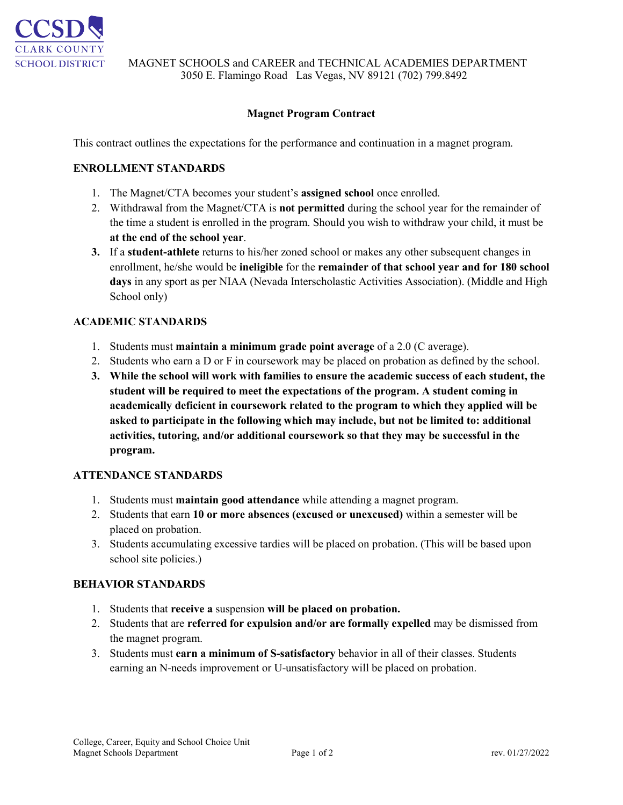

# **Magnet Program Contract**

This contract outlines the expectations for the performance and continuation in a magnet program.

## **ENROLLMENT STANDARDS**

- 1. The Magnet/CTA becomes your student's **assigned school** once enrolled.
- 2. Withdrawal from the Magnet/CTA is **not permitted** during the school year for the remainder of the time a student is enrolled in the program. Should you wish to withdraw your child, it must be **at the end of the school year**.
- **3.** If a **student-athlete** returns to his/her zoned school or makes any other subsequent changes in enrollment, he/she would be **ineligible** for the **remainder of that school year and for 180 school days** in any sport as per NIAA (Nevada Interscholastic Activities Association). (Middle and High School only)

## **ACADEMIC STANDARDS**

- 1. Students must **maintain a minimum grade point average** of a 2.0 (C average).
- 2. Students who earn a D or F in coursework may be placed on probation as defined by the school.
- **3. While the school will work with families to ensure the academic success of each student, the student will be required to meet the expectations of the program. A student coming in academically deficient in coursework related to the program to which they applied will be asked to participate in the following which may include, but not be limited to: additional activities, tutoring, and/or additional coursework so that they may be successful in the program.**

#### **ATTENDANCE STANDARDS**

- 1. Students must **maintain good attendance** while attending a magnet program.
- 2. Students that earn **10 or more absences (excused or unexcused)** within a semester will be placed on probation.
- 3. Students accumulating excessive tardies will be placed on probation. (This will be based upon school site policies.)

#### **BEHAVIOR STANDARDS**

- 1. Students that **receive a** suspension **will be placed on probation.**
- 2. Students that are **referred for expulsion and/or are formally expelled** may be dismissed from the magnet program.
- 3. Students must **earn a minimum of S-satisfactory** behavior in all of their classes. Students earning an N-needs improvement or U-unsatisfactory will be placed on probation.